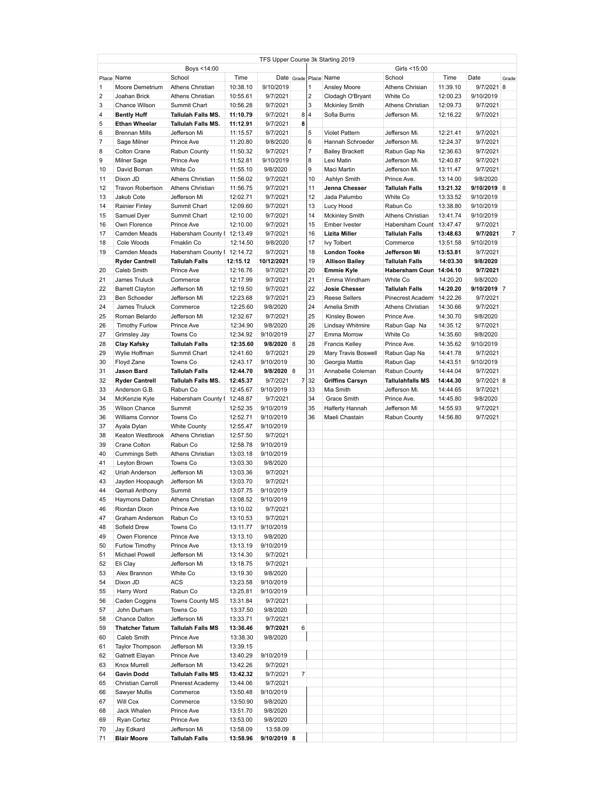|                         |                        |                             |          |             |                |      | TFS Upper Course 3k Starting 2019 |                           |          |             |                |
|-------------------------|------------------------|-----------------------------|----------|-------------|----------------|------|-----------------------------------|---------------------------|----------|-------------|----------------|
|                         |                        | Boys <14:00                 |          |             |                |      |                                   | Girls <15:00              |          |             |                |
|                         | Place Name             | School                      | Time     |             | Date Grade     |      | Place Name                        | School                    | Time     | Date        | Grade          |
| 1                       | Moore Demetrium        | Athens Christian            | 10:38.10 | 9/10/2019   |                | 1    | Ansley Moore                      | Athens Chrisian           | 11:39.10 | 9/7/2021 8  |                |
| $\overline{\mathbf{c}}$ | Joahan Brick           | Athens Christian            | 10:55.61 | 9/7/2021    |                | 2    | Clodagh O'Bryant                  | White Co                  | 12:00.23 | 9/10/2019   |                |
| 3                       | Chance Wilson          | Summit Chart                | 10:56.28 | 9/7/2021    |                | 3    | <b>Mckinley Smith</b>             | Athens Christian          | 12:09.73 | 9/7/2021    |                |
| 4                       | <b>Bently Huff</b>     | Tallulah Falls MS.          | 11:10.79 | 9/7/2021    | 8              | 4    | Sofia Burns                       | Jefferson Mi.             | 12:16.22 | 9/7/2021    |                |
| 5                       | <b>Ethan Wheelar</b>   | Tallulah Falls MS.          | 11:12.91 | 9/7/2021    | 8              |      |                                   |                           |          |             |                |
| 6                       | <b>Brennan Mills</b>   | Jefferson Mi                | 11:15.57 | 9/7/2021    |                | 5    | <b>Violet Pattern</b>             | Jefferson Mi.             | 12:21.41 | 9/7/2021    |                |
| 7                       | Sage Milner            | Prince Ave                  | 11:20.80 | 9/8/2020    |                | 6    | Hannah Schroeder                  | Jefferson Mi.             | 12:24.37 | 9/7/2021    |                |
| 8                       |                        |                             |          |             |                | 7    |                                   |                           | 12:36.63 |             |                |
|                         | Colton Crane           | Rabun County                | 11:50.32 | 9/7/2021    |                |      | <b>Bailey Brackett</b>            | Rabun Gap Na              |          | 9/7/2021    |                |
| 9                       | Milner Sage            | Prince Ave                  | 11:52.81 | 9/10/2019   |                | 8    | Lexi Matin                        | Jefferson Mi.             | 12:40.87 | 9/7/2021    |                |
| 10                      | David Boman            | White Co                    | 11:55.10 | 9/8/2020    |                | 9    | Maci Martin                       | Jefferson Mi.             | 13:11.47 | 9/7/2021    |                |
| 11                      | Dixon JD               | Athens Christian            | 11:56.02 | 9/7/2021    |                | 10   | Ashlyn Smith                      | Prince Ave.               | 13:14.00 | 9/8/2020    |                |
| 12                      | Travon Robertson       | Athens Christian            | 11:56.75 | 9/7/2021    |                | 11   | Jenna Chesser                     | <b>Tallulah Falls</b>     | 13:21.32 | 9/10/2019 8 |                |
| 13                      | Jakub Cote             | Jefferson Mi                | 12:02.71 | 9/7/2021    |                | 12   | Jada Palumbo                      | White Co                  | 13:33.52 | 9/10/2019   |                |
| 14                      | <b>Rainier Finley</b>  | Summit Chart                | 12:09.60 | 9/7/2021    |                | 13   | Lucy Hood                         | Rabun Co                  | 13:38.80 | 9/10/2019   |                |
| 15                      | Samuel Dyer            | Summit Chart                | 12:10.00 | 9/7/2021    |                | 14   | <b>Mckinley Smith</b>             | Athens Christian          | 13:41.74 | 9/10/2019   |                |
| 16                      | Own Florence           | Prince Ave                  | 12:10.00 | 9/7/2021    |                | 15   | Ember Ivester                     | Habersham Count           | 13:47.47 | 9/7/2021    |                |
| 17                      | Camden Meads           | Habersham County I          | 12:13.49 | 9/7/2021    |                | 16   | Lizita Miller                     | <b>Tallulah Falls</b>     | 13:48.63 | 9/7/2021    | $\overline{7}$ |
| 18                      | Cole Woods             | Frnaklin Co                 | 12:14.50 | 9/8/2020    |                | 17   | <b>Ivy Tolbert</b>                | Commerce                  | 13:51.58 | 9/10/2019   |                |
|                         |                        |                             |          |             |                | 18   | <b>London Tooke</b>               | Jefferson Mi              | 13:53.81 |             |                |
| 19                      | Camden Meads           | Habersham County   12:14.72 |          | 9/7/2021    |                |      |                                   |                           |          | 9/7/2021    |                |
|                         | <b>Ryder Cantrell</b>  | <b>Tallulah Falls</b>       | 12:15.12 | 10/12/2021  |                | 19   | <b>Allison Bailey</b>             | <b>Tallulah Falls</b>     | 14:03.30 | 9/8/2020    |                |
| 20                      | Caleb Smith            | Prince Ave                  | 12:16.76 | 9/7/2021    |                | 20   | Emmie Kyle                        | <b>Habersham Coun</b>     | 14:04.10 | 9/7/2021    |                |
| 21                      | James Truluck          | Commerce                    | 12:17.99 | 9/7/2021    |                | 21   | Emma Windham                      | White Co                  | 14:20.20 | 9/8/2020    |                |
| 22                      | <b>Barrett Clayton</b> | Jefferson Mi                | 12:19.50 | 9/7/2021    |                | 22   | Josie Chesser                     | <b>Tallulah Falls</b>     | 14:20.20 | 9/10/2019 7 |                |
| 23                      | Ben Schoeder           | Jefferson Mi                | 12:23.68 | 9/7/2021    |                | 23   | <b>Reese Sellers</b>              | Pinecrest Academ 14:22.26 |          | 9/7/2021    |                |
| 24                      | James Truluck          | Commerce                    | 12:25.60 | 9/8/2020    |                | 24   | Amelia Smith                      | Athens Christian          | 14:30.66 | 9/7/2021    |                |
| 25                      | Roman Belardo          | Jefferson Mi                | 12:32.67 | 9/7/2021    |                | 25   | Kinsley Bowen                     | Prince Ave.               | 14:30.70 | 9/8/2020    |                |
| 26                      | <b>Timothy Furlow</b>  | Prince Ave                  | 12:34.90 | 9/8/2020    |                | 26   | Lindsay Whitmire                  | Rabun Gap Na              | 14:35.12 | 9/7/2021    |                |
| 27                      | Grimsley Jay           | Towns Co                    | 12:34.92 | 9/10/2019   |                | 27   | Emma Morrow                       | White Co                  | 14:35.60 | 9/8/2020    |                |
| 28                      |                        |                             |          | 9/8/2020 8  |                |      |                                   | Prince Ave.               | 14:35.62 |             |                |
|                         | Clay Kafsky            | Tallulah Falls              | 12:35.60 |             |                | 28   | <b>Francis Kelley</b>             |                           |          | 9/10/2019   |                |
| 29                      | Wylie Hoffman          | Summit Chart                | 12:41.60 | 9/7/2021    |                | 29   | Mary Travis Boswell               | Rabun Gap Na              | 14:41.78 | 9/7/2021    |                |
| 30                      | Floyd Zane             | Towns Co                    | 12:43.17 | 9/10/2019   |                | 30   | Georgia Mattis                    | Rabun Gap                 | 14:43.51 | 9/10/2019   |                |
| 31                      | Jason Bard             | Tallulah Falls              | 12:44.70 | 9/8/2020 8  |                | 31   | Annabelle Coleman                 | Rabun County              | 14:44.04 | 9/7/2021    |                |
| 32                      | <b>Ryder Cantrell</b>  | Tallulah Falls MS.          | 12:45.37 | 9/7/2021    |                | 7 32 | <b>Griffins Carsyn</b>            | <b>Tallulahfalls MS</b>   | 14:44.30 | 9/7/2021 8  |                |
| 33                      | Anderson G.B.          | Rabun Co                    | 12:45.67 | 9/10/2019   |                | 33   | Mia Smith                         | Jefferson Mi.             | 14:44.65 | 9/7/2021    |                |
| 34                      | McKenzie Kyle          | Habersham County I          | 12:48.87 | 9/7/2021    |                | 34   | Grace Smith                       | Prince Ave.               | 14:45.80 | 9/8/2020    |                |
| 35                      | <b>Wilson Chance</b>   | Summit                      | 12:52.35 | 9/10/2019   |                | 35   | Halferty Hannah                   | Jefferson Mi              | 14:55.93 | 9/7/2021    |                |
| 36                      | <b>Williams Connor</b> | Towns Co                    | 12:52.71 | 9/10/2019   |                | 36   | Maeli Chastain                    | Rabun County              | 14:56.80 | 9/7/2021    |                |
| 37                      | Ayala Dylan            | White County                | 12:55.47 | 9/10/2019   |                |      |                                   |                           |          |             |                |
| 38                      | Keaton Westbrook       | Athens Christian            | 12:57.50 | 9/7/2021    |                |      |                                   |                           |          |             |                |
|                         |                        |                             |          |             |                |      |                                   |                           |          |             |                |
| 39                      | Crane Colton           | Rabun Co                    | 12:58.78 | 9/10/2019   |                |      |                                   |                           |          |             |                |
| 40                      | Cummings Seth          | Athens Christian            | 13:03.18 | 9/10/2019   |                |      |                                   |                           |          |             |                |
| 41                      | Leyton Brown           | Towns Co                    | 13:03.30 | 9/8/2020    |                |      |                                   |                           |          |             |                |
| 42                      | Uriah Anderson         | Jefferson Mi                | 13:03.36 | 9/7/2021    |                |      |                                   |                           |          |             |                |
| 43                      | Jayden Hoopaugh        | Jefferson Mi                | 13:03.70 | 9/7/2021    |                |      |                                   |                           |          |             |                |
| 44                      | Qemali Anthony         | Summit                      | 13:07.75 | 9/10/2019   |                |      |                                   |                           |          |             |                |
| 45                      | <b>Haymons Dalton</b>  | Athens Christian            | 13:08.52 | 9/10/2019   |                |      |                                   |                           |          |             |                |
| 46                      | Riordan Dixon          | Prince Ave                  | 13:10.02 | 9/7/2021    |                |      |                                   |                           |          |             |                |
| 47                      | Graham Anderson        | Rabun Co                    | 13:10.53 | 9/7/2021    |                |      |                                   |                           |          |             |                |
| 48                      | Sofield Drew           | Towns Co                    | 13:11.77 | 9/10/2019   |                |      |                                   |                           |          |             |                |
| 49                      | Owen Florence          | Prince Ave                  | 13:13.10 | 9/8/2020    |                |      |                                   |                           |          |             |                |
|                         |                        |                             |          |             |                |      |                                   |                           |          |             |                |
| 50                      | Furlow Timothy         | Prince Ave                  | 13:13.19 | 9/10/2019   |                |      |                                   |                           |          |             |                |
| 51                      | Michael Powell         | Jefferson Mi                | 13:14.30 | 9/7/2021    |                |      |                                   |                           |          |             |                |
| 52                      | Eli Clay               | Jefferson Mi                | 13:18.75 | 9/7/2021    |                |      |                                   |                           |          |             |                |
| 53                      | Alex Brannon           | White Co                    | 13:19.30 | 9/8/2020    |                |      |                                   |                           |          |             |                |
| 54                      | Dixon JD               | ACS                         | 13:23.58 | 9/10/2019   |                |      |                                   |                           |          |             |                |
| 55                      | Harry Word             | Rabun Co                    | 13:25.81 | 9/10/2019   |                |      |                                   |                           |          |             |                |
| 56                      | Caden Coggins          | Towns County MS             | 13:31.84 | 9/7/2021    |                |      |                                   |                           |          |             |                |
| 57                      | John Durham            | Towns Co                    | 13:37.50 | 9/8/2020    |                |      |                                   |                           |          |             |                |
| 58                      | Chance Dalton          | Jefferson Mi                | 13:33.71 | 9/7/2021    |                |      |                                   |                           |          |             |                |
| 59                      | <b>Thatcher Tatum</b>  | <b>Tallulah Falls MS</b>    | 13:36.46 | 9/7/2021    | 6              |      |                                   |                           |          |             |                |
| 60                      | Caleb Smith            | Prince Ave                  | 13:38.30 | 9/8/2020    |                |      |                                   |                           |          |             |                |
|                         |                        |                             |          |             |                |      |                                   |                           |          |             |                |
| 61                      | Taylor Thompson        | Jefferson Mi                | 13:39.15 |             |                |      |                                   |                           |          |             |                |
| 62                      | Gatnett Elayan         | Prince Ave                  | 13:40.29 | 9/10/2019   |                |      |                                   |                           |          |             |                |
| 63                      | Knox Murrell           | Jefferson Mi                | 13:42.26 | 9/7/2021    |                |      |                                   |                           |          |             |                |
| 64                      | Gavin Dodd             | Tallulah Falls MS           | 13:42.32 | 9/7/2021    | $\overline{7}$ |      |                                   |                           |          |             |                |
| 65                      | Christian Carroll      | Pinerest Academy            | 13:44.06 | 9/7/2021    |                |      |                                   |                           |          |             |                |
| 66                      | Sawyer Mullis          | Commerce                    | 13:50.48 | 9/10/2019   |                |      |                                   |                           |          |             |                |
| 67                      | Will Cox               | Commerce                    | 13:50.90 | 9/8/2020    |                |      |                                   |                           |          |             |                |
| 68                      | Jack Whalen            | Prince Ave                  | 13:51.70 | 9/8/2020    |                |      |                                   |                           |          |             |                |
| 69                      | Ryan Cortez            | Prince Ave                  | 13:53.00 | 9/8/2020    |                |      |                                   |                           |          |             |                |
| 70                      | Jay Edkard             | Jefferson Mi                | 13:58.09 | 13:58.09    |                |      |                                   |                           |          |             |                |
|                         | <b>Blair Moore</b>     |                             |          | 9/10/2019 8 |                |      |                                   |                           |          |             |                |
| 71                      |                        | Tallulah Falls              | 13:58.96 |             |                |      |                                   |                           |          |             |                |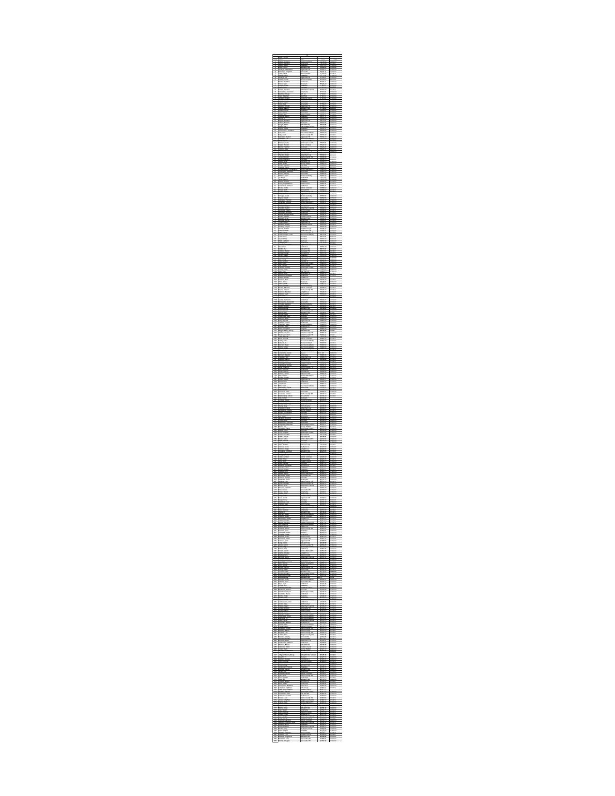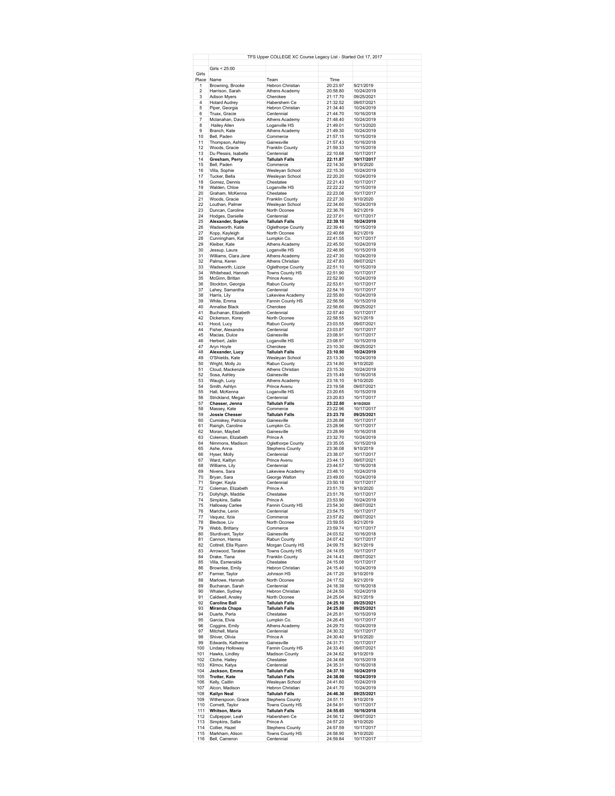|                     |                                             | TFS Upper COLLEGE XC Course Legacy List - Started Oct 17, 2017 |                      |                                             |  |
|---------------------|---------------------------------------------|----------------------------------------------------------------|----------------------|---------------------------------------------|--|
|                     | Girls $< 25:00$                             |                                                                |                      |                                             |  |
| Girls               | Place Name                                  | Team                                                           | Time                 |                                             |  |
|                     | Browning, Brooke                            | Hebron Christian                                               | 20:23.97             | 9/21/2019                                   |  |
| $\overline{2}$<br>3 | Harrison, Sarah                             | Athens Academy<br>Cherokee                                     | 20:58.80<br>21:17.70 | 10/24/2019<br>09/25/2021                    |  |
| 4                   | Adison Myers<br><b>Hotard Audrey</b>        | Habershem Ce                                                   | 21:32.52             | 09/07/2021                                  |  |
| 5                   | Piper, Georgia                              | Hebron Christian                                               | 21:34.40             | 10/24/2019                                  |  |
| 6<br>7              | Truax, Gracie<br>Mclanahan, Davis           | Centennial<br>Athens Academy                                   | 21:44.70<br>21:48.40 | 10/16/2018<br>10/24/2019                    |  |
| 8                   | Hailey Allen                                | Loganville HS                                                  | 21:49.01             | 10/13/2020                                  |  |
| 9<br>10             | Branch, Kate                                | Athens Academy<br>Commerce                                     | 21:49.30             | 10/24/2019<br>10/15/2019                    |  |
| 11                  | Bell, Paden<br>Thompson, Ashley             | Gainesville                                                    | 21:57.15<br>21:57.43 | 10/16/2018                                  |  |
| 12                  | Woods, Gracie                               | Franklin County                                                | 21:59.33             | 10/15/2019                                  |  |
| 13<br>14            | Du Plessis, Isabelle<br>Gresham, Perry      | Centennial<br><b>Tallulah Falls</b>                            | 22:10.68<br>22:11.87 | 10/17/2017<br>10/17/2017                    |  |
| 15                  | Bell, Paden                                 | Commerce                                                       | 22:14.30             | 9/10/2020                                   |  |
| 16                  | Villa, Sophie                               | Wesleyan School                                                | 22:15.30             | 10/24/2019                                  |  |
| 17<br>18            | Tucker, Bella<br>Gomez, Dennis              | Wesleyan School<br>Chestatee                                   | 22:20.20<br>22:21.43 | 10/24/2019<br>10/17/2017                    |  |
| 19                  | Walden, Chloe                               | Loganville HS                                                  | 22:22.22             | 10/15/2019                                  |  |
| 20<br>21            | Graham, McKenna<br>Woods, Gracie            | Chestatee<br>Franklin County                                   | 22:23.08<br>22:27.30 | 10/17/2017<br>9/10/2020                     |  |
| 22                  | Louthan, Palmer                             | Wesleyan School                                                | 22:34.60             | 10/24/2019                                  |  |
| 23                  | Duncan, Caroline                            | North Oconee                                                   | 22:36.76             | 9/21/2019                                   |  |
| 24<br>25            | Hodges, Danielle<br>Alexander, Sophie       | Centennial<br><b>Tallulah Falls</b>                            | 22:37.61<br>22:39.10 | 10/17/2017<br>10/24/2019                    |  |
| 26                  | Wadsworth, Katie                            | Oglethorpe County                                              | 22:39.40             | 10/15/2019                                  |  |
| 27<br>28            | Kopp, Kayleigh                              | North Oconee                                                   | 22:40.68<br>22:41.55 | 9/21/2019<br>10/17/2017                     |  |
| 29                  | Cunningham, Kat<br>Kleiber, Kate            | Lumpkin Co.<br>Athens Academy                                  | 22:45.50             | 10/24/2019                                  |  |
| 30                  | Jessup, Laura                               | Loganville HS                                                  | 22:46.95             | 10/15/2019                                  |  |
| 31<br>32            | Williams, Clara Jane<br>Palma, Keren        | Athens Academy<br>Athens Christian                             | 22:47.30<br>22:47.83 | 10/24/2019<br>09/07/2021                    |  |
| 33                  | Wadsworth, Lizzie                           | Oglethorpe County                                              | 22:51.10             | 10/15/2019                                  |  |
| 34                  | Whitehead, Hannah                           | Towns County HS                                                | 22:51.90             | 10/17/2017<br>10/24/2019                    |  |
| 35<br>36            | McGinn, Brittan<br>Stockton, Georgia        | Prince Avenu<br>Rabun County                                   | 22:52.90<br>22:53.61 | 10/17/2017                                  |  |
| 37                  | Lahey, Samantha                             | Centennial                                                     | 22:54.19             | 10/17/2017                                  |  |
| 38<br>39            | Harris, Lilv<br>White, Emma                 | Lakeview Academy<br>Fannin County HS                           | 22:55.80<br>22:56.56 | 10/24/2019<br>10/15/2019                    |  |
| 40                  | Annalise Black                              | Cherokee                                                       | 22:56.60             | 09/25/2021                                  |  |
| 41                  | Buchanan, Elizabeth                         | Centennial                                                     | 22:57.40             | 10/17/2017                                  |  |
| 42<br>43            | Dickerson, Korey<br>Hood, Lucy              | North Oconee<br>Rabun County                                   | 22:58.55<br>23:03.55 | 9/21/2019<br>09/07/2021                     |  |
| 44                  | Fisher, Alexandra                           | Centennial                                                     | 23:03.87             | 10/17/2017                                  |  |
| 45<br>46            | Macias, Dulce                               | Gainesville                                                    | 23:08.91             | 10/17/2017<br>10/15/2019                    |  |
| 47                  | Herbert, Jailin<br>Aryn Hoyle               | Loganville HS<br>Cherokee                                      | 23:08.97<br>23:10.30 | 09/25/2021                                  |  |
| 48                  | Alexander, Lucy                             | <b>Tallulah Falls</b>                                          | 23:10.90             | 10/24/2019                                  |  |
| 49<br>50            | O'Shields, Kate<br>Wright, Molly Jo         | Wesleyan School<br>Rabun County                                | 23:13.30<br>23:14.80 | 10/24/2019<br>9/10/2020                     |  |
| 51                  | Cloud, Mackenzie                            | Athens Christian                                               | 23:15.30             | 10/24/2019                                  |  |
| 52<br>53            | Sosa, Ashley<br>Waugh, Lucy                 | Gainesville<br>Athens Academy                                  | 23:15.49<br>23:18.10 | 10/16/2018<br>9/10/2020                     |  |
| 54                  | Smith, Ashlyn                               | Prince Avenu                                                   | 23:19.58             | 09/07/2021                                  |  |
| 55                  | Hall, McKenna                               | Loganville HS                                                  | 23:20.65             | 10/15/2019                                  |  |
| 56<br>57            | Strickland, Megan<br>Chasser, Jenna         | Centennial<br><b>Tallulah Falls</b>                            | 23:20.83<br>23:22.60 | 10/17/2017<br>9/10/2020                     |  |
| 58                  | Massey, Kate                                | Commerce                                                       | 23:22.96             | 10/17/2017                                  |  |
| 59<br>60            | <b>Jossie Chesser</b><br>Cumiskey, Patricia | <b>Tallulah Falls</b><br>Gainesville                           | 23:23.70<br>23:26.88 | 09/25/2021<br>10/17/2017                    |  |
| 61                  | Rairigh, Caroline                           | Lumpkin Co.                                                    | 23:28.96             | 10/17/2017                                  |  |
| 62<br>63            | Moran, Maybell<br>Coleman, Elizabeth        | Gainesville<br>Prince A                                        | 23:28.99<br>23:32.70 | 10/16/2018<br>10/24/2019                    |  |
| 64                  | Nimmons, Madison                            | Oglethorpe County                                              | 23:35.05             | 10/15/2019                                  |  |
| 65<br>66            | Ashe, Anna<br>Hyser, Molly                  | Stephens County<br>Centennial                                  | 23:36.08             | 9/10/2019<br>10/17/2017                     |  |
| 67                  | Ward, Kaitlyn                               | Prince Avenu                                                   | 23:38.07<br>23:44.13 | 09/07/2021                                  |  |
| 68                  | Williams, Lily                              | Centennial                                                     | 23:44.57             | 10/16/2018                                  |  |
| 69<br>70            | Nivens, Sara<br>Bryan, Sara                 | Lakeview Academy<br>George Walton                              | 23:48.10<br>23:49.00 | 10/24/2019<br>10/24/2019                    |  |
| 71                  | Singer, Kayla                               | Centennial                                                     | 23:50.18             | 10/17/2017                                  |  |
| 72<br>73            | Coleman, Elizabeth<br>Dollyhigh, Maddie     | Prince A<br>Chestatee                                          | 23:51.70<br>23:51.76 | 9/10/2020<br>10/17/2017                     |  |
| 74                  | Simpkins, Sallie                            | Prince A                                                       | 23:53.90             | 10/24/2019                                  |  |
| 75                  | <b>Halloway Carlee</b>                      | Fannin County HS                                               |                      | 23:54.30 09/07/2021                         |  |
| 76<br>77            | Mariche, Lenin<br>Vaquez, Itzia             | Centennial<br>Commerce                                         | 23:54.75<br>23:57.82 | 10/17/2017<br>09/07/2021                    |  |
| 78                  | Bledsoe, Liv                                | North Oconee                                                   | 23:59.55             | 9/21/2019                                   |  |
| 79<br>80            | Webb, Brittany<br>Sturdivant, Taylor        | Commerce<br>Gainesville                                        | 23:59.74<br>24:03.52 | 10/17/2017<br>10/16/2018                    |  |
| 81                  | Cannon, Hanna                               | Rabun County                                                   | 24:07.42             | 10/17/2017                                  |  |
| 82<br>83            | Cottrell, Ella Ryann<br>Arrowood, Taralee   | Morgan County HS                                               | 24:09.75             | 9/21/2019                                   |  |
| 84                  | Drake, Tiana                                | Towns County HS<br>Franklin County                             |                      | 24:14.05  10/17/2017<br>24:14.43 09/07/2021 |  |
| 85                  | Villa, Esmeralda                            | Chestatee                                                      |                      | 24:15.08  10/17/2017                        |  |
| 86<br>87            | Brownlee, Emily<br>Farmer, Taylor           | Hebron Christian<br>Johnson HS                                 | 24:15.40<br>24:17.20 | 10/24/2019<br>9/10/2019                     |  |
| 88                  | Marlowe, Hannah                             | North Oconee                                                   |                      | 24:17.52 9/21/2019                          |  |
| 89                  | Buchanan, Sarah                             | Centennial                                                     | 24:18.39             | 10/16/2018                                  |  |
| 90<br>91            | Whalen, Sydney<br>Caldwell, Ansley          | Hebron Christian<br>North Oconee                               | 24:24.50<br>24:25.04 | 10/24/2019<br>9/21/2019                     |  |
| 92                  | <b>Caroline Ball</b>                        | <b>Tallulah Falls</b>                                          | 24:25.10             | 09/25/2021                                  |  |
| 93<br>94            | <b>Miranda Chapa</b><br>Duarte, Perla       | <b>Tallulah Falls</b><br>Chestatee                             | 24:25.80<br>24:25.81 | 09/25/2021<br>10/15/2019                    |  |
| 95                  | Garcia, Elvia                               | Lumpkin Co.                                                    | 24:26.45             | 10/17/2017                                  |  |
| 96                  | Coggins, Emily                              | Athens Academy                                                 | 24:29.70             | 10/24/2019                                  |  |
| 97<br>98            | Mitchell, Maria<br>Shiver, Olivia           | Centennial<br>Prince A                                         | 24:30.32<br>24:30.40 | 10/17/2017<br>9/10/2020                     |  |
| 99                  | Edwards, Katherine                          | Gainesville                                                    | 24:31.71             | 10/17/2017                                  |  |
| 100                 | Lindasy Holloway<br>101 Hawks, Lindley      | Fannin County HS<br>Madison County                             | 24:33.40             | 09/07/2021<br>24:34.62 9/10/2019            |  |
|                     | 102 Cliche, Hailey                          | Chestatee                                                      |                      | 24:34.68  10/15/2019                        |  |
|                     | 103 Kilmov, Katya                           | Centennial                                                     |                      | 24:35.31  10/16/2018                        |  |
| 105                 | 104 Jackson, Emma<br>Trotter, Kate          | <b>Tallulah Falls</b><br><b>Tallulah Falls</b>                 | 24:38.00             | 24:37.10  10/24/2019<br>10/24/2019          |  |
| 106                 | Kelly, Caitlin                              | Wesleyan School                                                | 24:41.60             | 10/24/2019                                  |  |
| 107<br>108          | Alcon, Madison<br>Kailyn Neal               | Hebron Christian<br><b>Tallulah Falls</b>                      | 24:41.70<br>24:46.30 | 10/24/2019<br>09/25/2021                    |  |
| 109                 | Witherspoon, Grace                          | <b>Stephens County</b>                                         | 24:51.11             | 9/10/2019                                   |  |
| 110<br>111          | Cornett, Taylor<br>Whitson, Maria           | Towns County HS<br><b>Tallulah Falls</b>                       | 24:54.91<br>24:55.65 | 10/17/2017<br>10/16/2018                    |  |
| 112                 | Cullpepper, Leah                            | Habershem Ce                                                   | 24:56.12             | 09/07/2021                                  |  |
| 113                 | Simpkins, Sallie                            | Prince A                                                       | 24:57.20             | 9/10/2020                                   |  |
| 114<br>115          | Collier, Hazel<br>Markham, Alison           | <b>Stephens County</b><br>Towns County HS                      | 24:57.59<br>24:58.90 | 10/17/2017<br>9/10/2020                     |  |
|                     | 116 Bell, Cameron                           | Centennial                                                     | 24:59.84             | 10/17/2017                                  |  |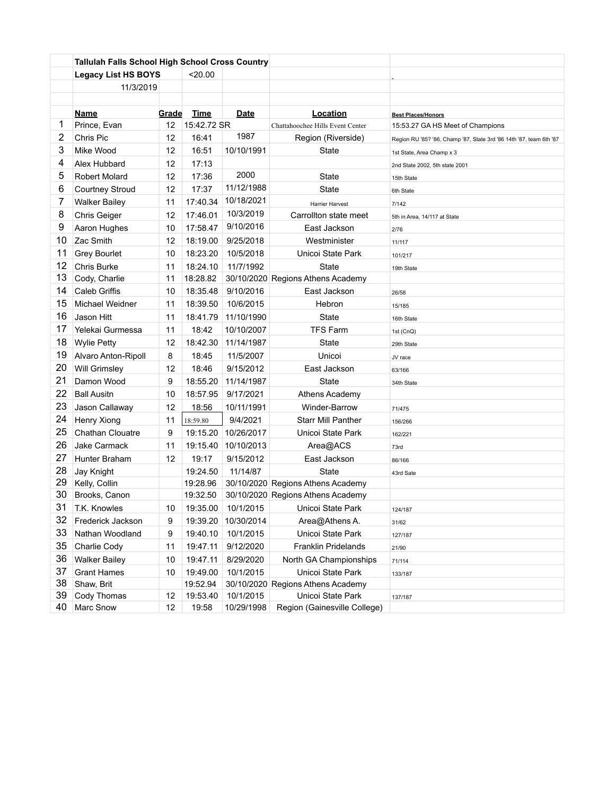|    | Tallulah Falls School High School Cross Country |              |             |             |                                   |                                                                     |
|----|-------------------------------------------------|--------------|-------------|-------------|-----------------------------------|---------------------------------------------------------------------|
|    | <b>Legacy List HS BOYS</b>                      |              | < 20.00     |             |                                   |                                                                     |
|    | 11/3/2019                                       |              |             |             |                                   |                                                                     |
|    |                                                 |              |             |             |                                   |                                                                     |
|    | <u>Name</u>                                     | <u>Grade</u> | <b>Time</b> | <b>Date</b> | Location                          | <b>Best Places/Honors</b>                                           |
| 1  | Prince, Evan                                    | 12           | 15:42.72 SR |             | Chattahoochee Hills Event Center  | 15:53.27 GA HS Meet of Champions                                    |
| 2  | Chris Pic                                       | 12           | 16:41       | 1987        | Region (Riverside)                | Region RU '85? '86, Champ '87, State 3rd '86 14th '87, team 6th '87 |
| 3  | Mike Wood                                       | 12           | 16:51       | 10/10/1991  | <b>State</b>                      | 1st State, Area Champ x 3                                           |
| 4  | Alex Hubbard                                    | 12           | 17:13       |             |                                   | 2nd State 2002, 5th state 2001                                      |
| 5  | <b>Robert Molard</b>                            | 12           | 17:36       | 2000        | State                             | 15th State                                                          |
| 6  | <b>Courtney Stroud</b>                          | 12           | 17:37       | 11/12/1988  | State                             | 6th State                                                           |
| 7  | <b>Walker Bailey</b>                            | 11           | 17:40.34    | 10/18/2021  | <b>Harrier Harvest</b>            | 7/142                                                               |
| 8  | Chris Geiger                                    | 12           | 17:46.01    | 10/3/2019   | Carrollton state meet             | 5th in Area, 14/117 at State                                        |
| 9  | Aaron Hughes                                    | 10           | 17:58.47    | 9/10/2016   | East Jackson                      | 2/76                                                                |
| 10 | Zac Smith                                       | 12           | 18:19.00    | 9/25/2018   | Westminister                      | 11/117                                                              |
| 11 | <b>Grey Bourlet</b>                             | 10           | 18:23.20    | 10/5/2018   | Unicoi State Park                 | 101/217                                                             |
| 12 | Chris Burke                                     | 11           | 18:24.10    | 11/7/1992   | <b>State</b>                      | 19th State                                                          |
| 13 | Cody, Charlie                                   | 11           | 18:28.82    |             | 30/10/2020 Regions Athens Academy |                                                                     |
| 14 | <b>Caleb Griffis</b>                            | 10           | 18:35.48    | 9/10/2016   | East Jackson                      | 26/58                                                               |
| 15 | Michael Weidner                                 | 11           | 18:39.50    | 10/6/2015   | Hebron                            | 15/185                                                              |
| 16 | Jason Hitt                                      | 11           | 18:41.79    | 11/10/1990  | <b>State</b>                      | 16th State                                                          |
| 17 | Yelekai Gurmessa                                | 11           | 18:42       | 10/10/2007  | <b>TFS Farm</b>                   | 1st (CnQ)                                                           |
| 18 | <b>Wylie Petty</b>                              | 12           | 18:42.30    | 11/14/1987  | State                             | 29th State                                                          |
| 19 | Alvaro Anton-Ripoll                             | 8            | 18:45       | 11/5/2007   | Unicoi                            | JV race                                                             |
| 20 | <b>Will Grimsley</b>                            | 12           | 18:46       | 9/15/2012   | East Jackson                      | 63/166                                                              |
| 21 | Damon Wood                                      | 9            | 18:55.20    | 11/14/1987  | State                             | 34th State                                                          |
| 22 | <b>Ball Ausitn</b>                              | 10           | 18:57.95    | 9/17/2021   | Athens Academy                    |                                                                     |
| 23 | Jason Callaway                                  | 12           | 18:56       | 10/11/1991  | Winder-Barrow                     | 71/475                                                              |
| 24 | Henry Xiong                                     | 11           | 18:59.80    | 9/4/2021    | <b>Starr Mill Panther</b>         | 156/266                                                             |
| 25 | <b>Chathan Clouatre</b>                         | 9            | 19:15.20    | 10/26/2017  | Unicoi State Park                 | 162/221                                                             |
| 26 | <b>Jake Carmack</b>                             | 11           | 19:15.40    | 10/10/2013  | Area@ACS                          | 73rd                                                                |
| 27 | Hunter Braham                                   | 12           | 19:17       | 9/15/2012   | East Jackson                      | 86/166                                                              |
| 28 | Jay Knight                                      |              | 19:24.50    | 11/14/87    | <b>State</b>                      | 43rd Sate                                                           |
| 29 | Kelly, Collin                                   |              | 19:28.96    |             | 30/10/2020 Regions Athens Academy |                                                                     |
| 30 | Brooks, Canon                                   |              | 19:32.50    |             | 30/10/2020 Regions Athens Academy |                                                                     |
| 31 | T.K. Knowles                                    | 10           | 19:35.00    | 10/1/2015   | Unicoi State Park                 | 124/187                                                             |
| 32 | Frederick Jackson                               | 9            | 19:39.20    | 10/30/2014  | Area@Athens A.                    | 31/62                                                               |
| 33 | Nathan Woodland                                 | 9            | 19:40.10    | 10/1/2015   | Unicoi State Park                 | 127/187                                                             |
| 35 | Charlie Cody                                    | 11           | 19:47.11    | 9/12/2020   | Franklin Pridelands               | 21/90                                                               |
| 36 | <b>Walker Bailey</b>                            | 10           | 19:47.11    | 8/29/2020   | North GA Championships            | 71/114                                                              |
| 37 | <b>Grant Hames</b>                              | 10           | 19:49.00    | 10/1/2015   | Unicoi State Park                 | 133/187                                                             |
| 38 | Shaw, Brit                                      |              | 19:52.94    |             | 30/10/2020 Regions Athens Academy |                                                                     |
| 39 | Cody Thomas                                     | 12           | 19:53.40    | 10/1/2015   | Unicoi State Park                 | 137/187                                                             |
| 40 | Marc Snow                                       | 12           | 19:58       | 10/29/1998  | Region (Gainesville College)      |                                                                     |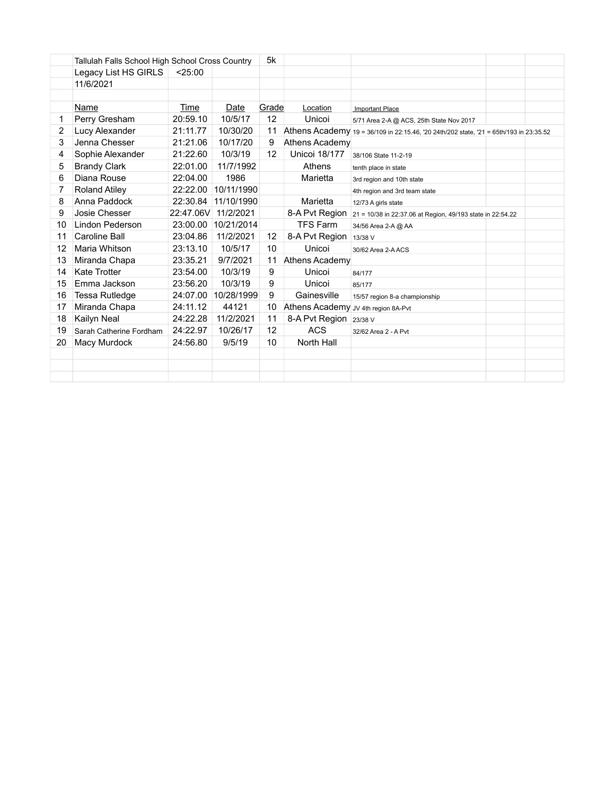|    | Tallulah Falls School High School Cross Country |           | 5k         |       |                                     |                                                                                        |
|----|-------------------------------------------------|-----------|------------|-------|-------------------------------------|----------------------------------------------------------------------------------------|
|    | Legacy List HS GIRLS                            | < 25:00   |            |       |                                     |                                                                                        |
|    | 11/6/2021                                       |           |            |       |                                     |                                                                                        |
|    |                                                 |           |            |       |                                     |                                                                                        |
|    | Name                                            | Time      | Date       | Grade | Location                            | <b>Important Place</b>                                                                 |
| 1  | Perry Gresham                                   | 20:59.10  | 10/5/17    | 12    | Unicoi                              | 5/71 Area 2-A @ ACS, 25th State Nov 2017                                               |
| 2  | Lucy Alexander                                  | 21:11.77  | 10/30/20   | 11    |                                     | Athens Academy 19 = 36/109 in 22:15.46, '20 24th/202 state, '21 = 65th/193 in 23:35.52 |
| 3  | Jenna Chesser                                   | 21:21.06  | 10/17/20   | 9     | Athens Academy                      |                                                                                        |
| 4  | Sophie Alexander                                | 21:22.60  | 10/3/19    | 12    | Unicoi 18/177                       | 38/106 State 11-2-19                                                                   |
| 5  | <b>Brandy Clark</b>                             | 22:01.00  | 11/7/1992  |       | Athens                              | tenth place in state                                                                   |
| 6  | Diana Rouse                                     | 22:04.00  | 1986       |       | Marietta                            | 3rd region and 10th state                                                              |
| 7  | <b>Roland Atiley</b>                            | 22:22.00  | 10/11/1990 |       |                                     | 4th region and 3rd team state                                                          |
| 8  | Anna Paddock                                    | 22:30.84  | 11/10/1990 |       | Marietta                            | 12/73 A girls state                                                                    |
| 9  | Josie Chesser                                   | 22:47.06V | 11/2/2021  |       | 8-A Pvt Region                      | 21 = 10/38 in 22:37.06 at Region, 49/193 state in 22:54.22                             |
| 10 | <b>Lindon Pederson</b>                          | 23:00.00  | 10/21/2014 |       | <b>TFS Farm</b>                     | 34/56 Area 2-A @ AA                                                                    |
| 11 | Caroline Ball                                   | 23:04.86  | 11/2/2021  | 12    | 8-A Pvt Region                      | 13/38 V                                                                                |
| 12 | Maria Whitson                                   | 23:13.10  | 10/5/17    | 10    | Unicoi                              | 30/62 Area 2-A ACS                                                                     |
| 13 | Miranda Chapa                                   | 23:35.21  | 9/7/2021   | 11    | Athens Academy                      |                                                                                        |
| 14 | <b>Kate Trotter</b>                             | 23:54.00  | 10/3/19    | 9     | Unicoi                              | 84/177                                                                                 |
| 15 | Emma Jackson                                    | 23:56.20  | 10/3/19    | 9     | Unicoi                              | 85/177                                                                                 |
| 16 | <b>Tessa Rutledge</b>                           | 24:07.00  | 10/28/1999 | 9     | Gainesville                         | 15/57 region 8-a championship                                                          |
| 17 | Miranda Chapa                                   | 24:11.12  | 44121      | 10    | Athens Academy JV 4th region 8A-Pvt |                                                                                        |
| 18 | Kailyn Neal                                     | 24:22.28  | 11/2/2021  | 11    | 8-A Pvt Region 23/38 V              |                                                                                        |
| 19 | Sarah Catherine Fordham                         | 24:22.97  | 10/26/17   | 12    | <b>ACS</b>                          | 32/62 Area 2 - A Pvt                                                                   |
| 20 | Macy Murdock                                    | 24:56.80  | 9/5/19     | 10    | North Hall                          |                                                                                        |
|    |                                                 |           |            |       |                                     |                                                                                        |
|    |                                                 |           |            |       |                                     |                                                                                        |
|    |                                                 |           |            |       |                                     |                                                                                        |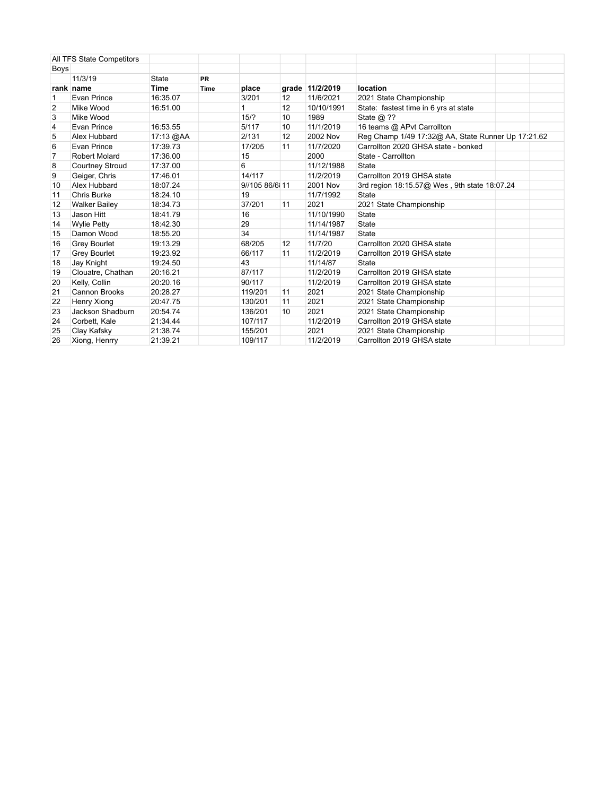|                | All TFS State Competitors |              |           |                |    |                 |                                                    |
|----------------|---------------------------|--------------|-----------|----------------|----|-----------------|----------------------------------------------------|
| <b>Boys</b>    |                           |              |           |                |    |                 |                                                    |
|                | 11/3/19                   | <b>State</b> | <b>PR</b> |                |    |                 |                                                    |
|                | rank name                 | Time         | Time      | place          |    | grade 11/2/2019 | location                                           |
| 1              | Evan Prince               | 16:35.07     |           | 3/201          | 12 | 11/6/2021       | 2021 State Championship                            |
| $\overline{2}$ | Mike Wood                 | 16:51.00     |           |                | 12 | 10/10/1991      | State: fastest time in 6 yrs at state              |
| 3              | Mike Wood                 |              |           | 15/?           | 10 | 1989            | State $@$ ??                                       |
| 4              | Evan Prince               | 16:53.55     |           | 5/117          | 10 | 11/1/2019       | 16 teams @ APvt Carrollton                         |
| 5              | Alex Hubbard              | 17:13 @AA    |           | 2/131          | 12 | 2002 Nov        | Reg Champ 1/49 17:32@ AA, State Runner Up 17:21.62 |
| 6              | Evan Prince               | 17:39.73     |           | 17/205         | 11 | 11/7/2020       | Carrollton 2020 GHSA state - bonked                |
| 7              | <b>Robert Molard</b>      | 17:36.00     |           | 15             |    | 2000            | State - Carrollton                                 |
| 8              | <b>Courtney Stroud</b>    | 17:37.00     |           | 6              |    | 11/12/1988      | State                                              |
| 9              | Geiger, Chris             | 17:46.01     |           | 14/117         |    | 11/2/2019       | Carrollton 2019 GHSA state                         |
| 10             | Alex Hubbard              | 18:07.24     |           | 9//105 86/6 11 |    | 2001 Nov        | 3rd region 18:15.57@ Wes, 9th state 18:07.24       |
| 11             | <b>Chris Burke</b>        | 18:24.10     |           | 19             |    | 11/7/1992       | <b>State</b>                                       |
| 12             | <b>Walker Bailey</b>      | 18:34.73     |           | 37/201         | 11 | 2021            | 2021 State Championship                            |
| 13             | Jason Hitt                | 18:41.79     |           | 16             |    | 11/10/1990      | <b>State</b>                                       |
| 14             | <b>Wylie Petty</b>        | 18:42.30     |           | 29             |    | 11/14/1987      | <b>State</b>                                       |
| 15             | Damon Wood                | 18:55.20     |           | 34             |    | 11/14/1987      | <b>State</b>                                       |
| 16             | <b>Grey Bourlet</b>       | 19:13.29     |           | 68/205         | 12 | 11/7/20         | Carrollton 2020 GHSA state                         |
| 17             | <b>Grey Bourlet</b>       | 19:23.92     |           | 66/117         | 11 | 11/2/2019       | Carrollton 2019 GHSA state                         |
| 18             | Jay Knight                | 19:24.50     |           | 43             |    | 11/14/87        | State                                              |
| 19             | Clouatre, Chathan         | 20:16.21     |           | 87/117         |    | 11/2/2019       | Carrollton 2019 GHSA state                         |
| 20             | Kelly, Collin             | 20:20.16     |           | 90/117         |    | 11/2/2019       | Carrollton 2019 GHSA state                         |
| 21             | Cannon Brooks             | 20:28.27     |           | 119/201        | 11 | 2021            | 2021 State Championship                            |
| 22             | Henry Xiong               | 20:47.75     |           | 130/201        | 11 | 2021            | 2021 State Championship                            |
| 23             | Jackson Shadburn          | 20:54.74     |           | 136/201        | 10 | 2021            | 2021 State Championship                            |
| 24             | Corbett, Kale             | 21:34.44     |           | 107/117        |    | 11/2/2019       | Carrollton 2019 GHSA state                         |
| 25             | Clay Kafsky               | 21:38.74     |           | 155/201        |    | 2021            | 2021 State Championship                            |
| 26             | Xiong, Henrry             | 21:39.21     |           | 109/117        |    | 11/2/2019       | Carrollton 2019 GHSA state                         |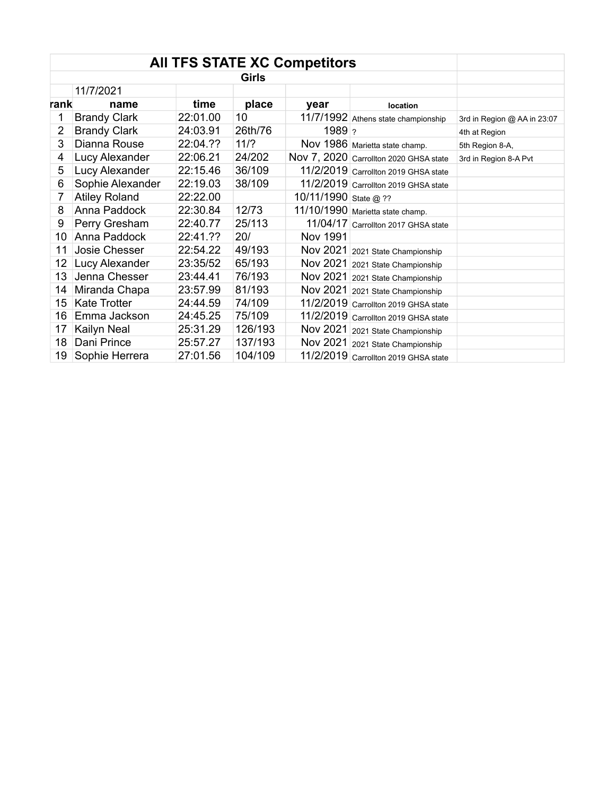|      | <b>All TFS STATE XC Competitors</b> |          |         |                       |                                        |                             |
|------|-------------------------------------|----------|---------|-----------------------|----------------------------------------|-----------------------------|
|      |                                     |          | Girls   |                       |                                        |                             |
|      | 11/7/2021                           |          |         |                       |                                        |                             |
| rank | name                                | time     | place   | year                  | location                               |                             |
| 1    | <b>Brandy Clark</b>                 | 22:01.00 | 10      |                       | 11/7/1992 Athens state championship    | 3rd in Region @ AA in 23:07 |
| 2    | <b>Brandy Clark</b>                 | 24:03.91 | 26th/76 | 1989.2                |                                        | 4th at Region               |
| 3    | Dianna Rouse                        | 22:04.?? | 11/2    |                       | Nov 1986 Marietta state champ.         | 5th Region 8-A,             |
| 4    | Lucy Alexander                      | 22:06.21 | 24/202  |                       | Nov 7, 2020 Carrollton 2020 GHSA state | 3rd in Region 8-A Pvt       |
| 5    | Lucy Alexander                      | 22:15.46 | 36/109  |                       | 11/2/2019 Carrollton 2019 GHSA state   |                             |
| 6    | Sophie Alexander                    | 22:19.03 | 38/109  |                       | 11/2/2019 Carrollton 2019 GHSA state   |                             |
| 7    | <b>Atiley Roland</b>                | 22:22.00 |         | 10/11/1990 State @ ?? |                                        |                             |
| 8    | Anna Paddock                        | 22:30.84 | 12/73   |                       | 11/10/1990 Marietta state champ.       |                             |
| 9    | Perry Gresham                       | 22:40.77 | 25/113  |                       | 11/04/17 Carrollton 2017 GHSA state    |                             |
| 10   | Anna Paddock                        | 22:41.?? | 20/     | <b>Nov 1991</b>       |                                        |                             |
| 11   | Josie Chesser                       | 22:54.22 | 49/193  |                       | Nov 2021 2021 State Championship       |                             |
| 12   | Lucy Alexander                      | 23:35/52 | 65/193  |                       | Nov 2021 2021 State Championship       |                             |
| 13   | Jenna Chesser                       | 23:44.41 | 76/193  |                       | Nov 2021 2021 State Championship       |                             |
| 14   | Miranda Chapa                       | 23:57.99 | 81/193  |                       | Nov 2021 2021 State Championship       |                             |
| 15   | <b>Kate Trotter</b>                 | 24:44.59 | 74/109  |                       | 11/2/2019 Carrollton 2019 GHSA state   |                             |
| 16   | Emma Jackson                        | 24:45.25 | 75/109  |                       | 11/2/2019 Carrollton 2019 GHSA state   |                             |
| 17   | <b>Kailyn Neal</b>                  | 25:31.29 | 126/193 |                       | Nov 2021 2021 State Championship       |                             |
| 18   | Dani Prince                         | 25:57.27 | 137/193 |                       | Nov 2021 2021 State Championship       |                             |
| 19   | Sophie Herrera                      | 27:01.56 | 104/109 |                       | 11/2/2019 Carrollton 2019 GHSA state   |                             |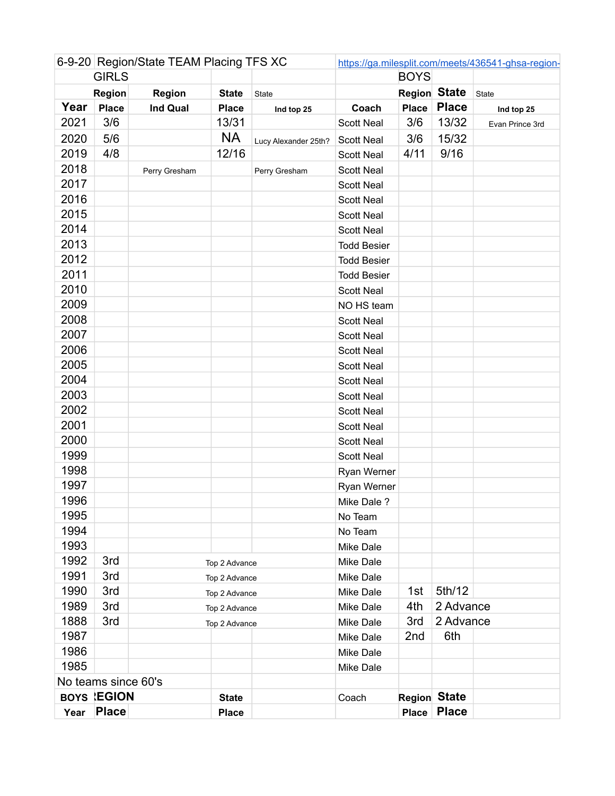|      |                     | 6-9-20 Region/State TEAM Placing TFS XC |               |                      |                    |              |                     | https://ga.milesplit.com/meets/436541-ghsa-region- |
|------|---------------------|-----------------------------------------|---------------|----------------------|--------------------|--------------|---------------------|----------------------------------------------------|
|      | <b>GIRLS</b>        |                                         |               |                      |                    | <b>BOYS</b>  |                     |                                                    |
|      | Region              | <b>Region</b>                           | <b>State</b>  | State                |                    |              | Region State State  |                                                    |
| Year | <b>Place</b>        | <b>Ind Qual</b>                         | <b>Place</b>  | Ind top 25           | Coach              | <b>Place</b> | <b>Place</b>        | Ind top 25                                         |
| 2021 | 3/6                 |                                         | 13/31         |                      | Scott Neal         | 3/6          | 13/32               | Evan Prince 3rd                                    |
| 2020 | 5/6                 |                                         | <b>NA</b>     | Lucy Alexander 25th? | Scott Neal         | 3/6          | 15/32               |                                                    |
| 2019 | 4/8                 |                                         | 12/16         |                      | <b>Scott Neal</b>  | 4/11         | 9/16                |                                                    |
| 2018 |                     | Perry Gresham                           |               | Perry Gresham        | Scott Neal         |              |                     |                                                    |
| 2017 |                     |                                         |               |                      | Scott Neal         |              |                     |                                                    |
| 2016 |                     |                                         |               |                      | Scott Neal         |              |                     |                                                    |
| 2015 |                     |                                         |               |                      | <b>Scott Neal</b>  |              |                     |                                                    |
| 2014 |                     |                                         |               |                      | Scott Neal         |              |                     |                                                    |
| 2013 |                     |                                         |               |                      | <b>Todd Besier</b> |              |                     |                                                    |
| 2012 |                     |                                         |               |                      | <b>Todd Besier</b> |              |                     |                                                    |
| 2011 |                     |                                         |               |                      |                    |              |                     |                                                    |
| 2010 |                     |                                         |               |                      | <b>Todd Besier</b> |              |                     |                                                    |
|      |                     |                                         |               |                      | <b>Scott Neal</b>  |              |                     |                                                    |
| 2009 |                     |                                         |               |                      | NO HS team         |              |                     |                                                    |
| 2008 |                     |                                         |               |                      | Scott Neal         |              |                     |                                                    |
| 2007 |                     |                                         |               |                      | <b>Scott Neal</b>  |              |                     |                                                    |
| 2006 |                     |                                         |               |                      | Scott Neal         |              |                     |                                                    |
| 2005 |                     |                                         |               |                      | <b>Scott Neal</b>  |              |                     |                                                    |
| 2004 |                     |                                         |               |                      | Scott Neal         |              |                     |                                                    |
| 2003 |                     |                                         |               |                      | <b>Scott Neal</b>  |              |                     |                                                    |
| 2002 |                     |                                         |               |                      | Scott Neal         |              |                     |                                                    |
| 2001 |                     |                                         |               |                      | <b>Scott Neal</b>  |              |                     |                                                    |
| 2000 |                     |                                         |               |                      | Scott Neal         |              |                     |                                                    |
| 1999 |                     |                                         |               |                      | Scott Neal         |              |                     |                                                    |
| 1998 |                     |                                         |               |                      | Ryan Werner        |              |                     |                                                    |
| 1997 |                     |                                         |               |                      | Ryan Werner        |              |                     |                                                    |
| 1996 |                     |                                         |               |                      | Mike Dale ?        |              |                     |                                                    |
| 1995 |                     |                                         |               |                      | No Team            |              |                     |                                                    |
| 1994 |                     |                                         |               |                      | No Team            |              |                     |                                                    |
| 1993 |                     |                                         |               |                      | Mike Dale          |              |                     |                                                    |
| 1992 | 3rd                 |                                         | Top 2 Advance |                      | Mike Dale          |              |                     |                                                    |
| 1991 | 3rd                 |                                         | Top 2 Advance |                      | Mike Dale          |              |                     |                                                    |
| 1990 | 3rd                 |                                         | Top 2 Advance |                      | Mike Dale          | 1st          | 5th/12              |                                                    |
| 1989 | 3rd                 |                                         | Top 2 Advance |                      | Mike Dale          | 4th          | 2 Advance           |                                                    |
| 1888 | 3rd                 |                                         | Top 2 Advance |                      | Mike Dale          | 3rd          | 2 Advance           |                                                    |
| 1987 |                     |                                         |               |                      | Mike Dale          | 2nd          | 6th                 |                                                    |
| 1986 |                     |                                         |               |                      | Mike Dale          |              |                     |                                                    |
| 1985 |                     |                                         |               |                      | Mike Dale          |              |                     |                                                    |
|      | No teams since 60's |                                         |               |                      |                    |              |                     |                                                    |
|      | <b>BOYS EGION</b>   |                                         | <b>State</b>  |                      | Coach              |              | <b>Region State</b> |                                                    |
|      | Year Place          |                                         | <b>Place</b>  |                      |                    |              | Place Place         |                                                    |
|      |                     |                                         |               |                      |                    |              |                     |                                                    |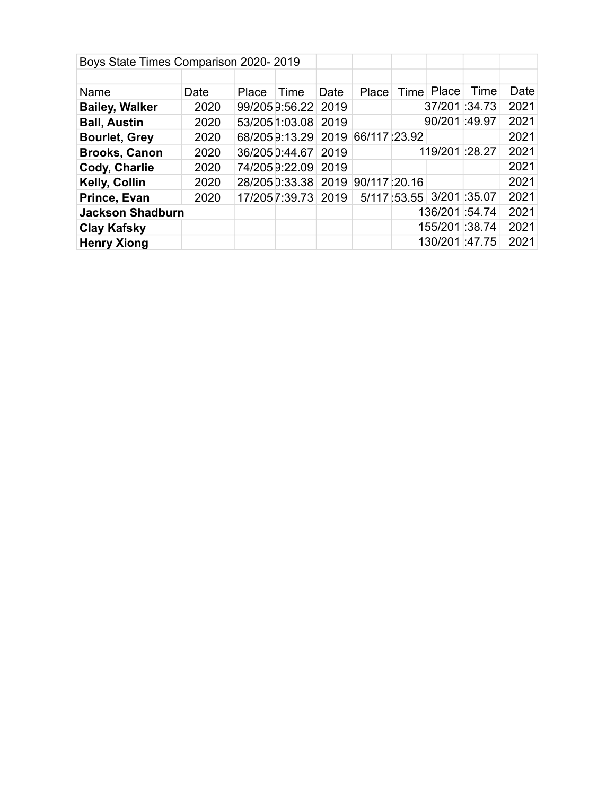| Boys State Times Comparison 2020-2019 |      |       |                       |      |              |                         |      |      |
|---------------------------------------|------|-------|-----------------------|------|--------------|-------------------------|------|------|
|                                       |      |       |                       |      |              |                         |      |      |
| Name                                  | Date | Place | Time                  | Date | Place        | Time Place              | Time | Date |
| <b>Bailey, Walker</b>                 | 2020 |       | 99/205 9:56.22 2019   |      |              | 37/201:34.73            |      | 2021 |
| <b>Ball, Austin</b>                   | 2020 |       | 53/205 1:03.08 2019   |      |              | 90/201:49.97            |      | 2021 |
| <b>Bourlet, Grey</b>                  | 2020 |       | 68/2059:13.29 2019    |      | 66/117:23.92 |                         |      | 2021 |
| <b>Brooks, Canon</b>                  | 2020 |       | 36/205 0:44.67        | 2019 |              | 119/201 :28.27          |      | 2021 |
| Cody, Charlie                         | 2020 |       | 74/2059:22.09         | 2019 |              |                         |      | 2021 |
| Kelly, Collin                         | 2020 |       | 28/205 0:33.38 2019   |      | 90/117:20.16 |                         |      | 2021 |
| Prince, Evan                          | 2020 |       | 17/205 7:39.73   2019 |      |              | 5/117 53.55 3/201 35.07 |      | 2021 |
| <b>Jackson Shadburn</b>               |      |       |                       |      |              | 136/201:54.74           |      | 2021 |
| <b>Clay Kafsky</b>                    |      |       |                       |      |              | 155/201:38.74           |      | 2021 |
| <b>Henry Xiong</b>                    |      |       |                       |      |              | 130/201:47.75           |      | 2021 |